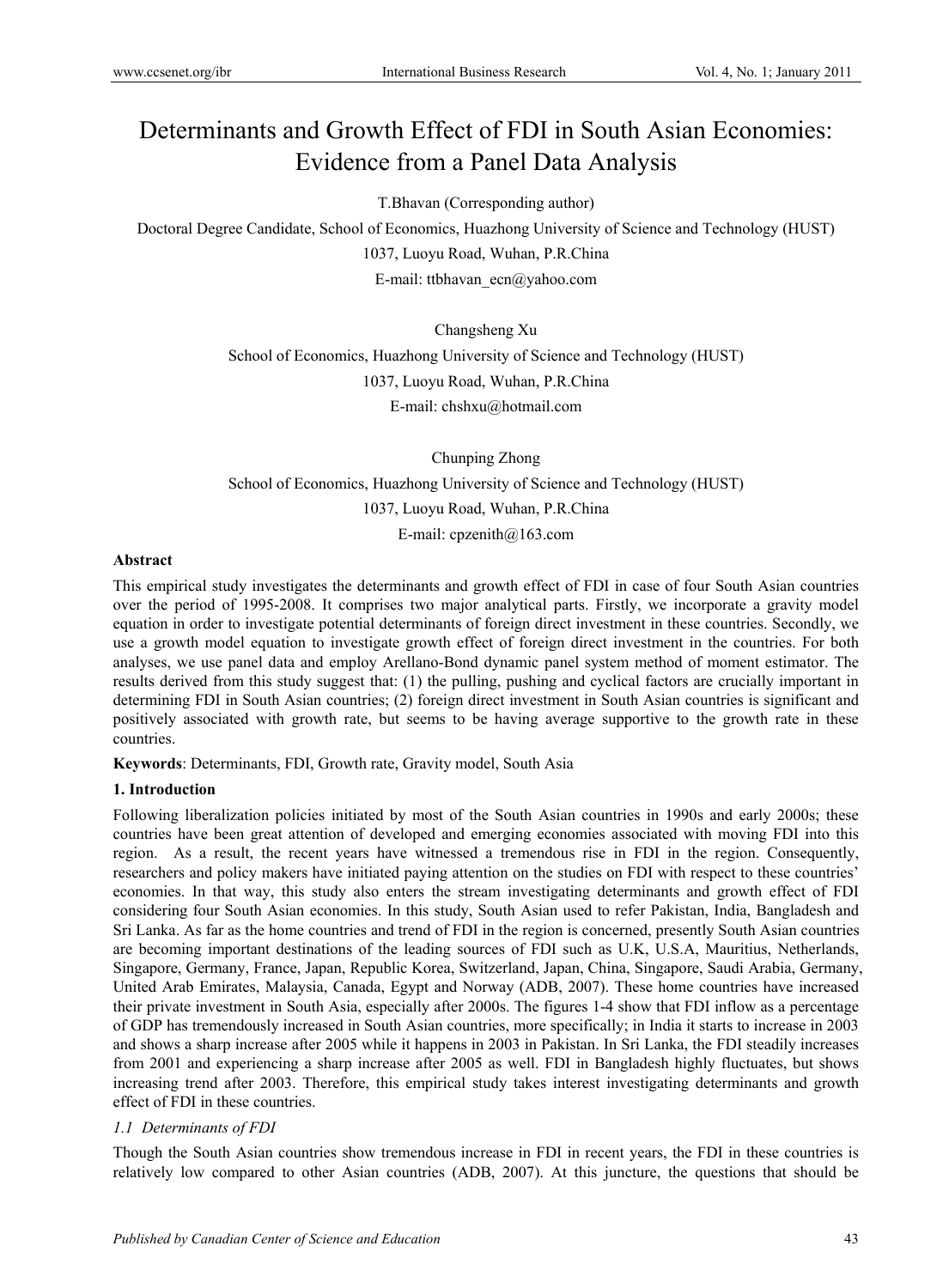# Determinants and Growth Effect of FDI in South Asian Economies: Evidence from a Panel Data Analysis

T.Bhavan (Corresponding author)

Doctoral Degree Candidate, School of Economics, Huazhong University of Science and Technology (HUST) 1037, Luoyu Road, Wuhan, P.R.China E-mail: ttbhavan\_ecn@yahoo.com

> Changsheng Xu School of Economics, Huazhong University of Science and Technology (HUST) 1037, Luoyu Road, Wuhan, P.R.China E-mail: chshxu@hotmail.com

> Chunping Zhong School of Economics, Huazhong University of Science and Technology (HUST) 1037, Luoyu Road, Wuhan, P.R.China E-mail: cpzenith@163.com

## **Abstract**

This empirical study investigates the determinants and growth effect of FDI in case of four South Asian countries over the period of 1995-2008. It comprises two major analytical parts. Firstly, we incorporate a gravity model equation in order to investigate potential determinants of foreign direct investment in these countries. Secondly, we use a growth model equation to investigate growth effect of foreign direct investment in the countries. For both analyses, we use panel data and employ Arellano-Bond dynamic panel system method of moment estimator. The results derived from this study suggest that: (1) the pulling, pushing and cyclical factors are crucially important in determining FDI in South Asian countries; (2) foreign direct investment in South Asian countries is significant and positively associated with growth rate, but seems to be having average supportive to the growth rate in these countries.

**Keywords**: Determinants, FDI, Growth rate, Gravity model, South Asia

# **1. Introduction**

Following liberalization policies initiated by most of the South Asian countries in 1990s and early 2000s; these countries have been great attention of developed and emerging economies associated with moving FDI into this region. As a result, the recent years have witnessed a tremendous rise in FDI in the region. Consequently, researchers and policy makers have initiated paying attention on the studies on FDI with respect to these countries' economies. In that way, this study also enters the stream investigating determinants and growth effect of FDI considering four South Asian economies. In this study, South Asian used to refer Pakistan, India, Bangladesh and Sri Lanka. As far as the home countries and trend of FDI in the region is concerned, presently South Asian countries are becoming important destinations of the leading sources of FDI such as U.K, U.S.A, Mauritius, Netherlands, Singapore, Germany, France, Japan, Republic Korea, Switzerland, Japan, China, Singapore, Saudi Arabia, Germany, United Arab Emirates, Malaysia, Canada, Egypt and Norway (ADB, 2007). These home countries have increased their private investment in South Asia, especially after 2000s. The figures 1-4 show that FDI inflow as a percentage of GDP has tremendously increased in South Asian countries, more specifically; in India it starts to increase in 2003 and shows a sharp increase after 2005 while it happens in 2003 in Pakistan. In Sri Lanka, the FDI steadily increases from 2001 and experiencing a sharp increase after 2005 as well. FDI in Bangladesh highly fluctuates, but shows increasing trend after 2003. Therefore, this empirical study takes interest investigating determinants and growth effect of FDI in these countries.

# *1.1 Determinants of FDI*

Though the South Asian countries show tremendous increase in FDI in recent years, the FDI in these countries is relatively low compared to other Asian countries (ADB, 2007). At this juncture, the questions that should be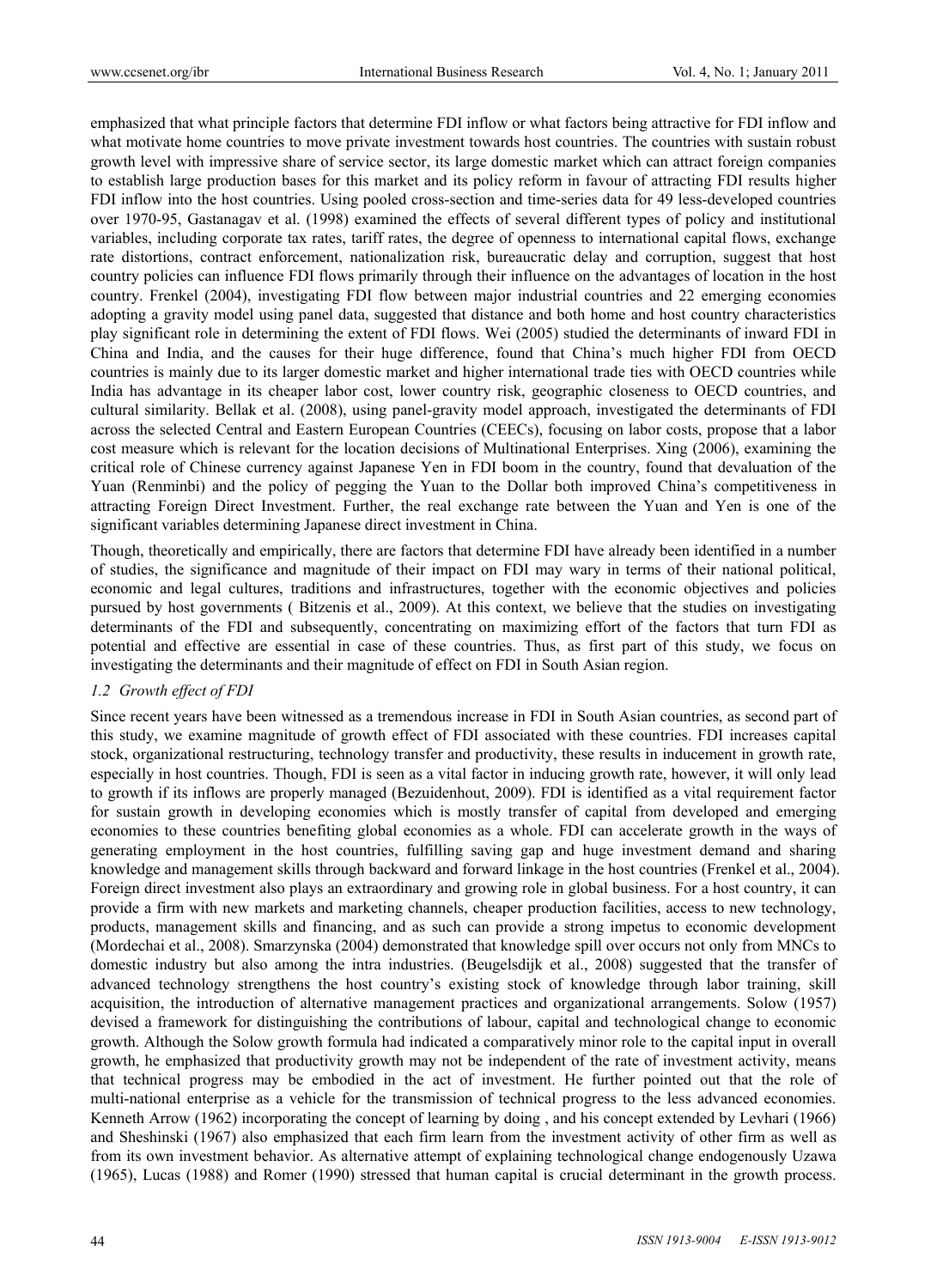emphasized that what principle factors that determine FDI inflow or what factors being attractive for FDI inflow and what motivate home countries to move private investment towards host countries. The countries with sustain robust growth level with impressive share of service sector, its large domestic market which can attract foreign companies to establish large production bases for this market and its policy reform in favour of attracting FDI results higher FDI inflow into the host countries. Using pooled cross-section and time-series data for 49 less-developed countries over 1970-95, Gastanagav et al. (1998) examined the effects of several different types of policy and institutional variables, including corporate tax rates, tariff rates, the degree of openness to international capital flows, exchange rate distortions, contract enforcement, nationalization risk, bureaucratic delay and corruption, suggest that host country policies can influence FDI flows primarily through their influence on the advantages of location in the host country. Frenkel (2004), investigating FDI flow between major industrial countries and 22 emerging economies adopting a gravity model using panel data, suggested that distance and both home and host country characteristics play significant role in determining the extent of FDI flows. Wei (2005) studied the determinants of inward FDI in China and India, and the causes for their huge difference, found that China's much higher FDI from OECD countries is mainly due to its larger domestic market and higher international trade ties with OECD countries while India has advantage in its cheaper labor cost, lower country risk, geographic closeness to OECD countries, and cultural similarity. Bellak et al. (2008), using panel-gravity model approach, investigated the determinants of FDI across the selected Central and Eastern European Countries (CEECs), focusing on labor costs, propose that a labor cost measure which is relevant for the location decisions of Multinational Enterprises. Xing (2006), examining the critical role of Chinese currency against Japanese Yen in FDI boom in the country, found that devaluation of the Yuan (Renminbi) and the policy of pegging the Yuan to the Dollar both improved China's competitiveness in attracting Foreign Direct Investment. Further, the real exchange rate between the Yuan and Yen is one of the significant variables determining Japanese direct investment in China.

Though, theoretically and empirically, there are factors that determine FDI have already been identified in a number of studies, the significance and magnitude of their impact on FDI may wary in terms of their national political, economic and legal cultures, traditions and infrastructures, together with the economic objectives and policies pursued by host governments ( Bitzenis et al., 2009). At this context, we believe that the studies on investigating determinants of the FDI and subsequently, concentrating on maximizing effort of the factors that turn FDI as potential and effective are essential in case of these countries. Thus, as first part of this study, we focus on investigating the determinants and their magnitude of effect on FDI in South Asian region.

## *1.2 Growth effect of FDI*

Since recent years have been witnessed as a tremendous increase in FDI in South Asian countries, as second part of this study, we examine magnitude of growth effect of FDI associated with these countries. FDI increases capital stock, organizational restructuring, technology transfer and productivity, these results in inducement in growth rate, especially in host countries. Though, FDI is seen as a vital factor in inducing growth rate, however, it will only lead to growth if its inflows are properly managed (Bezuidenhout, 2009). FDI is identified as a vital requirement factor for sustain growth in developing economies which is mostly transfer of capital from developed and emerging economies to these countries benefiting global economies as a whole. FDI can accelerate growth in the ways of generating employment in the host countries, fulfilling saving gap and huge investment demand and sharing knowledge and management skills through backward and forward linkage in the host countries (Frenkel et al., 2004). Foreign direct investment also plays an extraordinary and growing role in global business. For a host country, it can provide a firm with new markets and marketing channels, cheaper production facilities, access to new technology, products, management skills and financing, and as such can provide a strong impetus to economic development (Mordechai et al., 2008). Smarzynska (2004) demonstrated that knowledge spill over occurs not only from MNCs to domestic industry but also among the intra industries. (Beugelsdijk et al., 2008) suggested that the transfer of advanced technology strengthens the host country's existing stock of knowledge through labor training, skill acquisition, the introduction of alternative management practices and organizational arrangements. Solow (1957) devised a framework for distinguishing the contributions of labour, capital and technological change to economic growth. Although the Solow growth formula had indicated a comparatively minor role to the capital input in overall growth, he emphasized that productivity growth may not be independent of the rate of investment activity, means that technical progress may be embodied in the act of investment. He further pointed out that the role of multi-national enterprise as a vehicle for the transmission of technical progress to the less advanced economies. Kenneth Arrow (1962) incorporating the concept of learning by doing , and his concept extended by Levhari (1966) and Sheshinski (1967) also emphasized that each firm learn from the investment activity of other firm as well as from its own investment behavior. As alternative attempt of explaining technological change endogenously Uzawa (1965), Lucas (1988) and Romer (1990) stressed that human capital is crucial determinant in the growth process.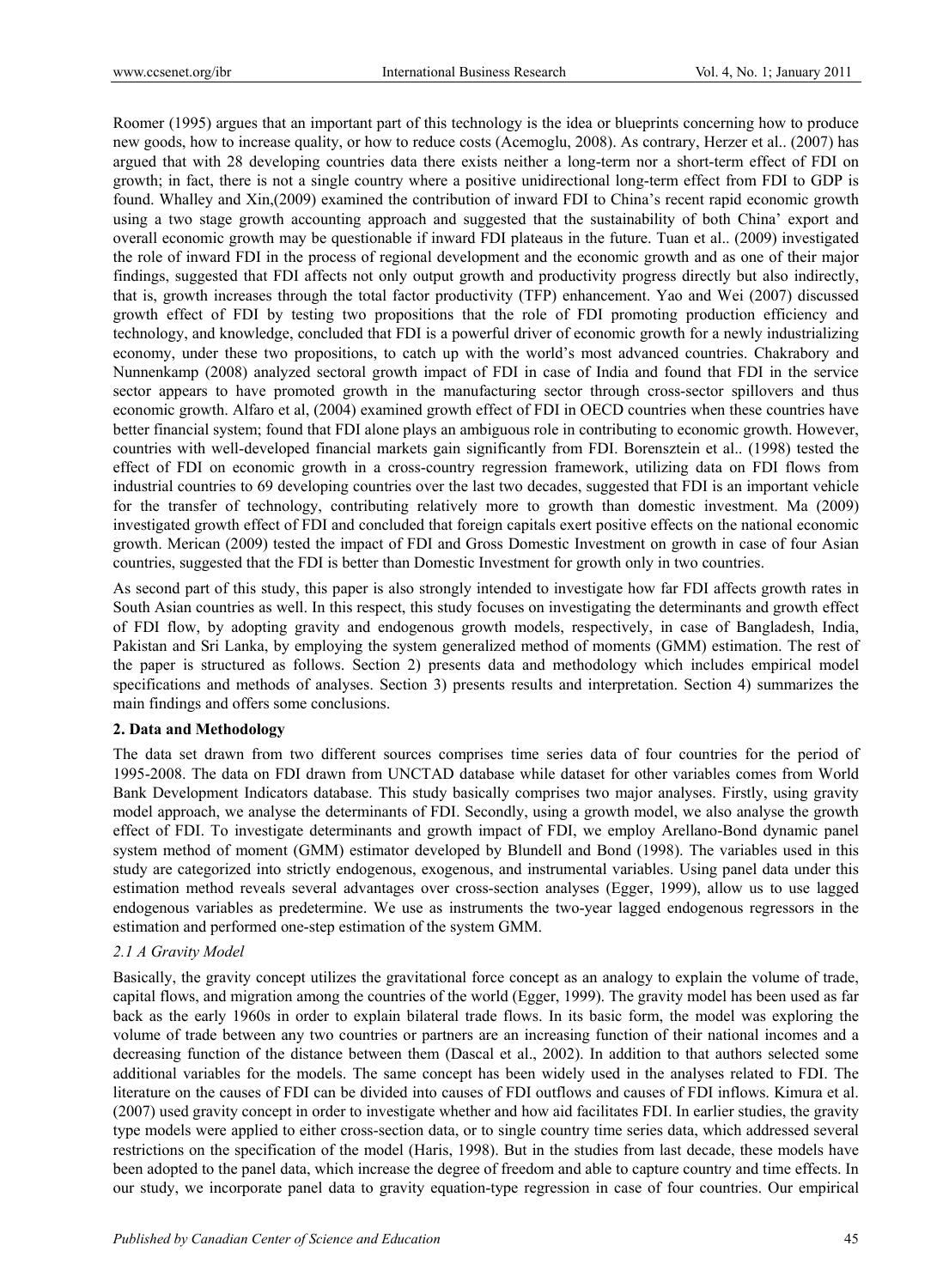Roomer (1995) argues that an important part of this technology is the idea or blueprints concerning how to produce new goods, how to increase quality, or how to reduce costs (Acemoglu, 2008). As contrary, Herzer et al.. (2007) has argued that with 28 developing countries data there exists neither a long-term nor a short-term effect of FDI on growth; in fact, there is not a single country where a positive unidirectional long-term effect from FDI to GDP is found. Whalley and Xin,(2009) examined the contribution of inward FDI to China's recent rapid economic growth using a two stage growth accounting approach and suggested that the sustainability of both China' export and overall economic growth may be questionable if inward FDI plateaus in the future. Tuan et al.. (2009) investigated the role of inward FDI in the process of regional development and the economic growth and as one of their major findings, suggested that FDI affects not only output growth and productivity progress directly but also indirectly, that is, growth increases through the total factor productivity (TFP) enhancement. Yao and Wei (2007) discussed growth effect of FDI by testing two propositions that the role of FDI promoting production efficiency and technology, and knowledge, concluded that FDI is a powerful driver of economic growth for a newly industrializing economy, under these two propositions, to catch up with the world's most advanced countries. Chakrabory and Nunnenkamp (2008) analyzed sectoral growth impact of FDI in case of India and found that FDI in the service sector appears to have promoted growth in the manufacturing sector through cross-sector spillovers and thus economic growth. Alfaro et al, (2004) examined growth effect of FDI in OECD countries when these countries have better financial system; found that FDI alone plays an ambiguous role in contributing to economic growth. However, countries with well-developed financial markets gain significantly from FDI. Borensztein et al.. (1998) tested the effect of FDI on economic growth in a cross-country regression framework, utilizing data on FDI flows from industrial countries to 69 developing countries over the last two decades, suggested that FDI is an important vehicle for the transfer of technology, contributing relatively more to growth than domestic investment. Ma (2009) investigated growth effect of FDI and concluded that foreign capitals exert positive effects on the national economic growth. Merican (2009) tested the impact of FDI and Gross Domestic Investment on growth in case of four Asian countries, suggested that the FDI is better than Domestic Investment for growth only in two countries.

As second part of this study, this paper is also strongly intended to investigate how far FDI affects growth rates in South Asian countries as well. In this respect, this study focuses on investigating the determinants and growth effect of FDI flow, by adopting gravity and endogenous growth models, respectively, in case of Bangladesh, India, Pakistan and Sri Lanka, by employing the system generalized method of moments (GMM) estimation. The rest of the paper is structured as follows. Section 2) presents data and methodology which includes empirical model specifications and methods of analyses. Section 3) presents results and interpretation. Section 4) summarizes the main findings and offers some conclusions.

## **2. Data and Methodology**

The data set drawn from two different sources comprises time series data of four countries for the period of 1995-2008. The data on FDI drawn from UNCTAD database while dataset for other variables comes from World Bank Development Indicators database. This study basically comprises two major analyses. Firstly, using gravity model approach, we analyse the determinants of FDI. Secondly, using a growth model, we also analyse the growth effect of FDI. To investigate determinants and growth impact of FDI, we employ Arellano-Bond dynamic panel system method of moment (GMM) estimator developed by Blundell and Bond (1998). The variables used in this study are categorized into strictly endogenous, exogenous, and instrumental variables. Using panel data under this estimation method reveals several advantages over cross-section analyses (Egger, 1999), allow us to use lagged endogenous variables as predetermine. We use as instruments the two-year lagged endogenous regressors in the estimation and performed one-step estimation of the system GMM.

## *2.1 A Gravity Model*

Basically, the gravity concept utilizes the gravitational force concept as an analogy to explain the volume of trade, capital flows, and migration among the countries of the world (Egger, 1999). The gravity model has been used as far back as the early 1960s in order to explain bilateral trade flows. In its basic form, the model was exploring the volume of trade between any two countries or partners are an increasing function of their national incomes and a decreasing function of the distance between them (Dascal et al., 2002). In addition to that authors selected some additional variables for the models. The same concept has been widely used in the analyses related to FDI. The literature on the causes of FDI can be divided into causes of FDI outflows and causes of FDI inflows. Kimura et al. (2007) used gravity concept in order to investigate whether and how aid facilitates FDI. In earlier studies, the gravity type models were applied to either cross-section data, or to single country time series data, which addressed several restrictions on the specification of the model (Haris, 1998). But in the studies from last decade, these models have been adopted to the panel data, which increase the degree of freedom and able to capture country and time effects. In our study, we incorporate panel data to gravity equation-type regression in case of four countries. Our empirical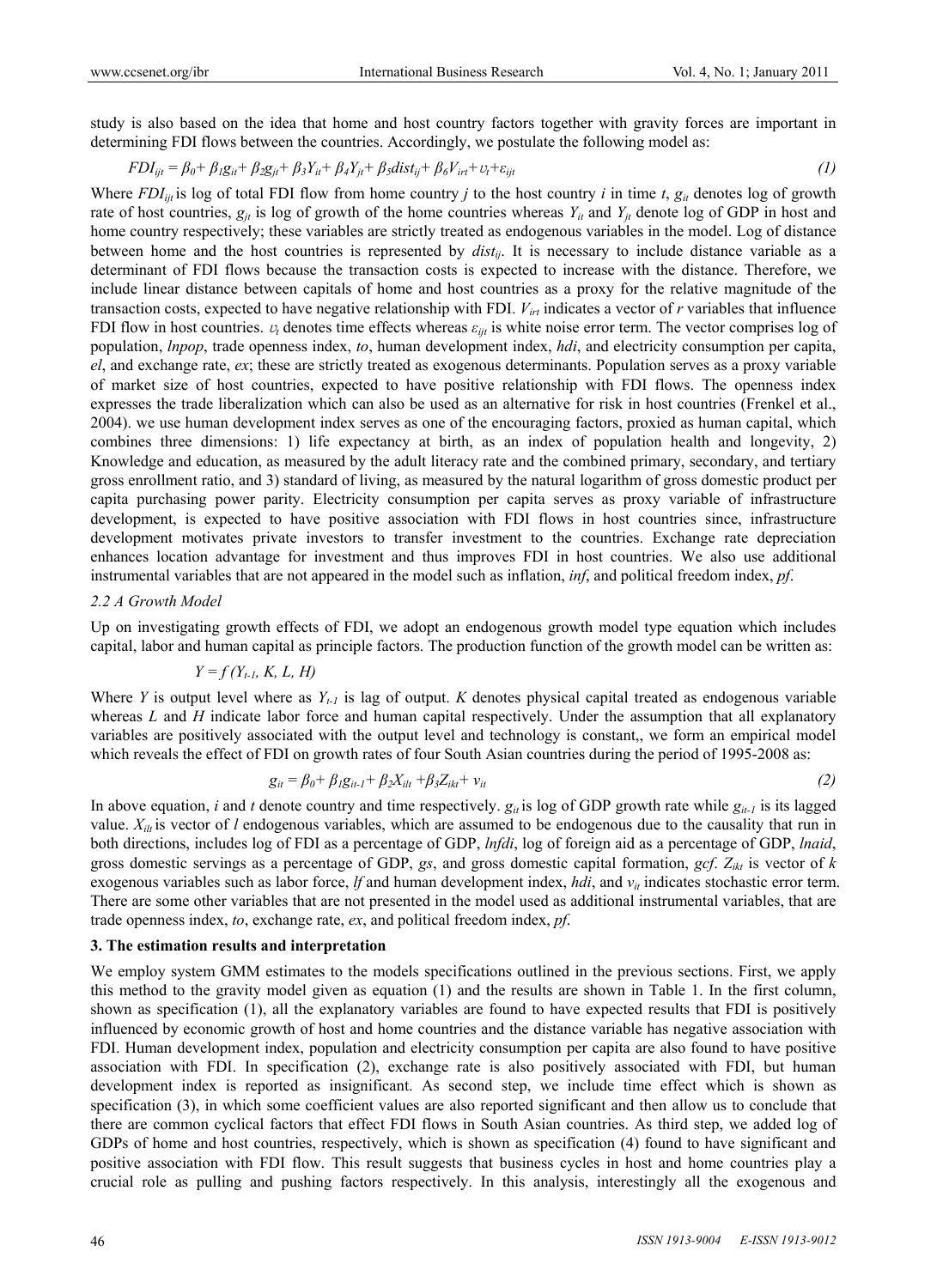study is also based on the idea that home and host country factors together with gravity forces are important in determining FDI flows between the countries. Accordingly, we postulate the following model as:

$$
FDI_{ijt} = \beta_0 + \beta_1 g_{it} + \beta_2 g_{jt} + \beta_3 Y_{it} + \beta_4 Y_{jt} + \beta_5 dist_{ij} + \beta_6 V_{irt} + \nu_t + \varepsilon_{ijt}
$$
\n
$$
\tag{1}
$$

Where  $FDI_{ii}$  is log of total FDI flow from home country *j* to the host country *i* in time *t*,  $g_{ii}$  denotes log of growth rate of host countries,  $g_{it}$  is log of growth of the home countries whereas  $Y_{it}$  and  $Y_{it}$  denote log of GDP in host and home country respectively; these variables are strictly treated as endogenous variables in the model. Log of distance between home and the host countries is represented by *distij*. It is necessary to include distance variable as a determinant of FDI flows because the transaction costs is expected to increase with the distance. Therefore, we include linear distance between capitals of home and host countries as a proxy for the relative magnitude of the transaction costs, expected to have negative relationship with FDI.  $V_{int}$  indicates a vector of  $r$  variables that influence FDI flow in host countries.  $v_t$  denotes time effects whereas  $\varepsilon_{ijt}$  is white noise error term. The vector comprises log of population, *lnpop*, trade openness index, *to*, human development index, *hdi*, and electricity consumption per capita, *el*, and exchange rate, *ex*; these are strictly treated as exogenous determinants. Population serves as a proxy variable of market size of host countries, expected to have positive relationship with FDI flows. The openness index expresses the trade liberalization which can also be used as an alternative for risk in host countries (Frenkel et al., 2004). we use human development index serves as one of the encouraging factors, proxied as human capital, which combines three dimensions: 1) life expectancy at birth, as an index of population health and longevity, 2) Knowledge and education, as measured by the adult literacy rate and the combined primary, secondary, and tertiary gross enrollment ratio, and 3) standard of living, as measured by the natural logarithm of gross domestic product per capita purchasing power parity. Electricity consumption per capita serves as proxy variable of infrastructure development, is expected to have positive association with FDI flows in host countries since, infrastructure development motivates private investors to transfer investment to the countries. Exchange rate depreciation enhances location advantage for investment and thus improves FDI in host countries. We also use additional instrumental variables that are not appeared in the model such as inflation, *inf*, and political freedom index, *pf*.

#### *2.2 A Growth Model*

Up on investigating growth effects of FDI, we adopt an endogenous growth model type equation which includes capital, labor and human capital as principle factors. The production function of the growth model can be written as:

$$
Y=f(Y_{t-l}, K, L, H)
$$

Where *Y* is output level where as  $Y_{t-1}$  is lag of output. *K* denotes physical capital treated as endogenous variable whereas *L* and *H* indicate labor force and human capital respectively. Under the assumption that all explanatory variables are positively associated with the output level and technology is constant,, we form an empirical model which reveals the effect of FDI on growth rates of four South Asian countries during the period of 1995-2008 as:

$$
g_{it} = \beta_0 + \beta_1 g_{it-1} + \beta_2 X_{it} + \beta_3 Z_{ikt} + v_{it}
$$
 (2)

In above equation, *i* and *t* denote country and time respectively.  $g_{ii}$  is log of GDP growth rate while  $g_{ii-1}$  is its lagged value.  $X_{i}$  is vector of *l* endogenous variables, which are assumed to be endogenous due to the causality that run in both directions, includes log of FDI as a percentage of GDP, *lnfdi*, log of foreign aid as a percentage of GDP, *lnaid*, gross domestic servings as a percentage of GDP, *gs*, and gross domestic capital formation, *gcf*. *Zikt* is vector of *k* exogenous variables such as labor force,  $\hat{f}$  and human development index,  $\hat{h}di$ , and  $v_{\hat{u}}$  indicates stochastic error term. There are some other variables that are not presented in the model used as additional instrumental variables, that are trade openness index, *to*, exchange rate, *ex*, and political freedom index, *pf*.

#### **3. The estimation results and interpretation**

We employ system GMM estimates to the models specifications outlined in the previous sections. First, we apply this method to the gravity model given as equation (1) and the results are shown in Table 1. In the first column, shown as specification (1), all the explanatory variables are found to have expected results that FDI is positively influenced by economic growth of host and home countries and the distance variable has negative association with FDI. Human development index, population and electricity consumption per capita are also found to have positive association with FDI. In specification (2), exchange rate is also positively associated with FDI, but human development index is reported as insignificant. As second step, we include time effect which is shown as specification (3), in which some coefficient values are also reported significant and then allow us to conclude that there are common cyclical factors that effect FDI flows in South Asian countries. As third step, we added log of GDPs of home and host countries, respectively, which is shown as specification (4) found to have significant and positive association with FDI flow. This result suggests that business cycles in host and home countries play a crucial role as pulling and pushing factors respectively. In this analysis, interestingly all the exogenous and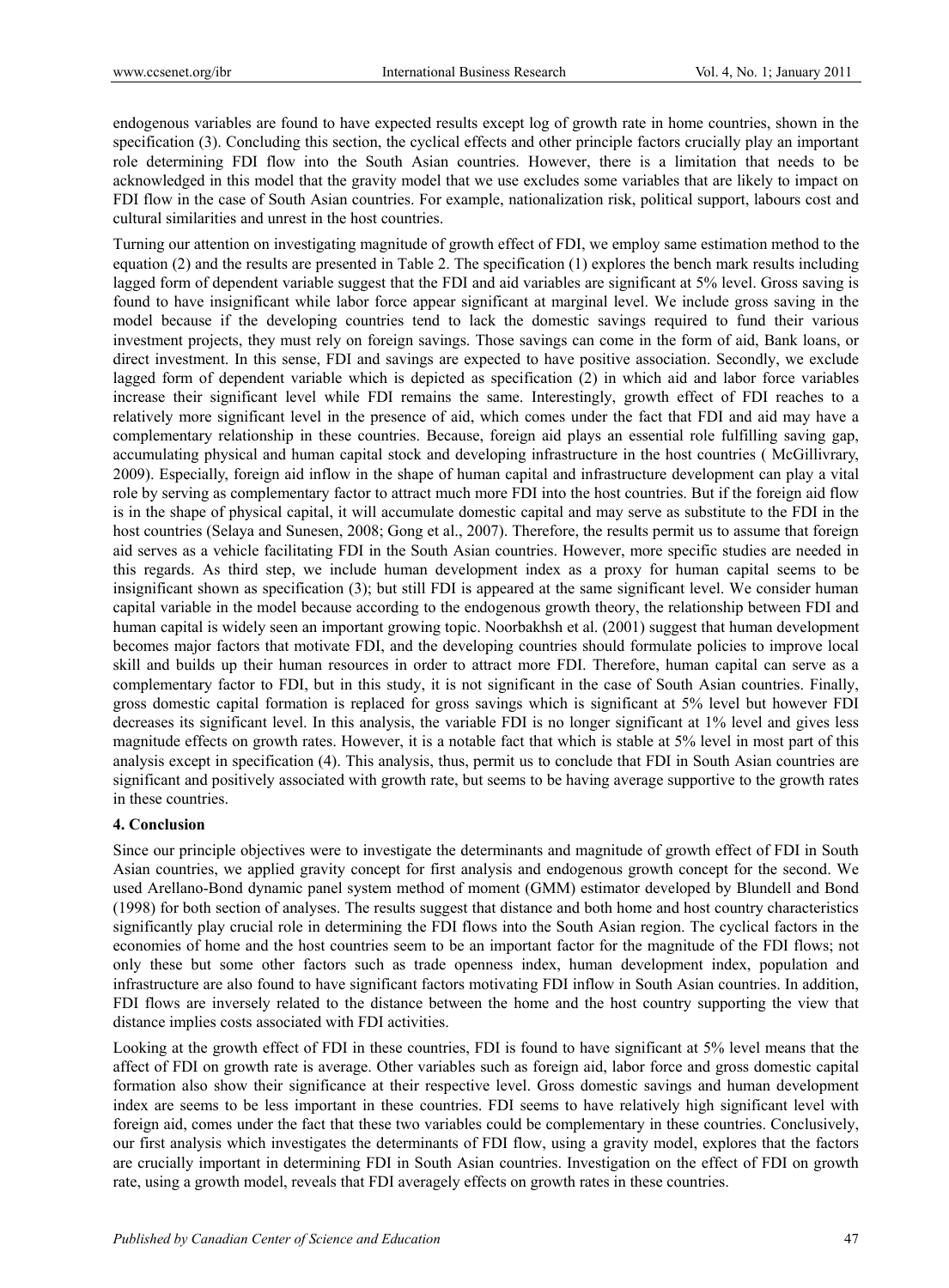endogenous variables are found to have expected results except log of growth rate in home countries, shown in the specification (3). Concluding this section, the cyclical effects and other principle factors crucially play an important role determining FDI flow into the South Asian countries. However, there is a limitation that needs to be acknowledged in this model that the gravity model that we use excludes some variables that are likely to impact on FDI flow in the case of South Asian countries. For example, nationalization risk, political support, labours cost and cultural similarities and unrest in the host countries.

Turning our attention on investigating magnitude of growth effect of FDI, we employ same estimation method to the equation (2) and the results are presented in Table 2. The specification (1) explores the bench mark results including lagged form of dependent variable suggest that the FDI and aid variables are significant at 5% level. Gross saving is found to have insignificant while labor force appear significant at marginal level. We include gross saving in the model because if the developing countries tend to lack the domestic savings required to fund their various investment projects, they must rely on foreign savings. Those savings can come in the form of aid, Bank loans, or direct investment. In this sense, FDI and savings are expected to have positive association. Secondly, we exclude lagged form of dependent variable which is depicted as specification (2) in which aid and labor force variables increase their significant level while FDI remains the same. Interestingly, growth effect of FDI reaches to a relatively more significant level in the presence of aid, which comes under the fact that FDI and aid may have a complementary relationship in these countries. Because, foreign aid plays an essential role fulfilling saving gap, accumulating physical and human capital stock and developing infrastructure in the host countries ( McGillivrary, 2009). Especially, foreign aid inflow in the shape of human capital and infrastructure development can play a vital role by serving as complementary factor to attract much more FDI into the host countries. But if the foreign aid flow is in the shape of physical capital, it will accumulate domestic capital and may serve as substitute to the FDI in the host countries (Selaya and Sunesen, 2008; Gong et al., 2007). Therefore, the results permit us to assume that foreign aid serves as a vehicle facilitating FDI in the South Asian countries. However, more specific studies are needed in this regards. As third step, we include human development index as a proxy for human capital seems to be insignificant shown as specification (3); but still FDI is appeared at the same significant level. We consider human capital variable in the model because according to the endogenous growth theory, the relationship between FDI and human capital is widely seen an important growing topic. Noorbakhsh et al. (2001) suggest that human development becomes major factors that motivate FDI, and the developing countries should formulate policies to improve local skill and builds up their human resources in order to attract more FDI. Therefore, human capital can serve as a complementary factor to FDI, but in this study, it is not significant in the case of South Asian countries. Finally, gross domestic capital formation is replaced for gross savings which is significant at 5% level but however FDI decreases its significant level. In this analysis, the variable FDI is no longer significant at 1% level and gives less magnitude effects on growth rates. However, it is a notable fact that which is stable at 5% level in most part of this analysis except in specification (4). This analysis, thus, permit us to conclude that FDI in South Asian countries are significant and positively associated with growth rate, but seems to be having average supportive to the growth rates in these countries.

## **4. Conclusion**

Since our principle objectives were to investigate the determinants and magnitude of growth effect of FDI in South Asian countries, we applied gravity concept for first analysis and endogenous growth concept for the second. We used Arellano-Bond dynamic panel system method of moment (GMM) estimator developed by Blundell and Bond (1998) for both section of analyses. The results suggest that distance and both home and host country characteristics significantly play crucial role in determining the FDI flows into the South Asian region. The cyclical factors in the economies of home and the host countries seem to be an important factor for the magnitude of the FDI flows; not only these but some other factors such as trade openness index, human development index, population and infrastructure are also found to have significant factors motivating FDI inflow in South Asian countries. In addition, FDI flows are inversely related to the distance between the home and the host country supporting the view that distance implies costs associated with FDI activities.

Looking at the growth effect of FDI in these countries, FDI is found to have significant at 5% level means that the affect of FDI on growth rate is average. Other variables such as foreign aid, labor force and gross domestic capital formation also show their significance at their respective level. Gross domestic savings and human development index are seems to be less important in these countries. FDI seems to have relatively high significant level with foreign aid, comes under the fact that these two variables could be complementary in these countries. Conclusively, our first analysis which investigates the determinants of FDI flow, using a gravity model, explores that the factors are crucially important in determining FDI in South Asian countries. Investigation on the effect of FDI on growth rate, using a growth model, reveals that FDI averagely effects on growth rates in these countries.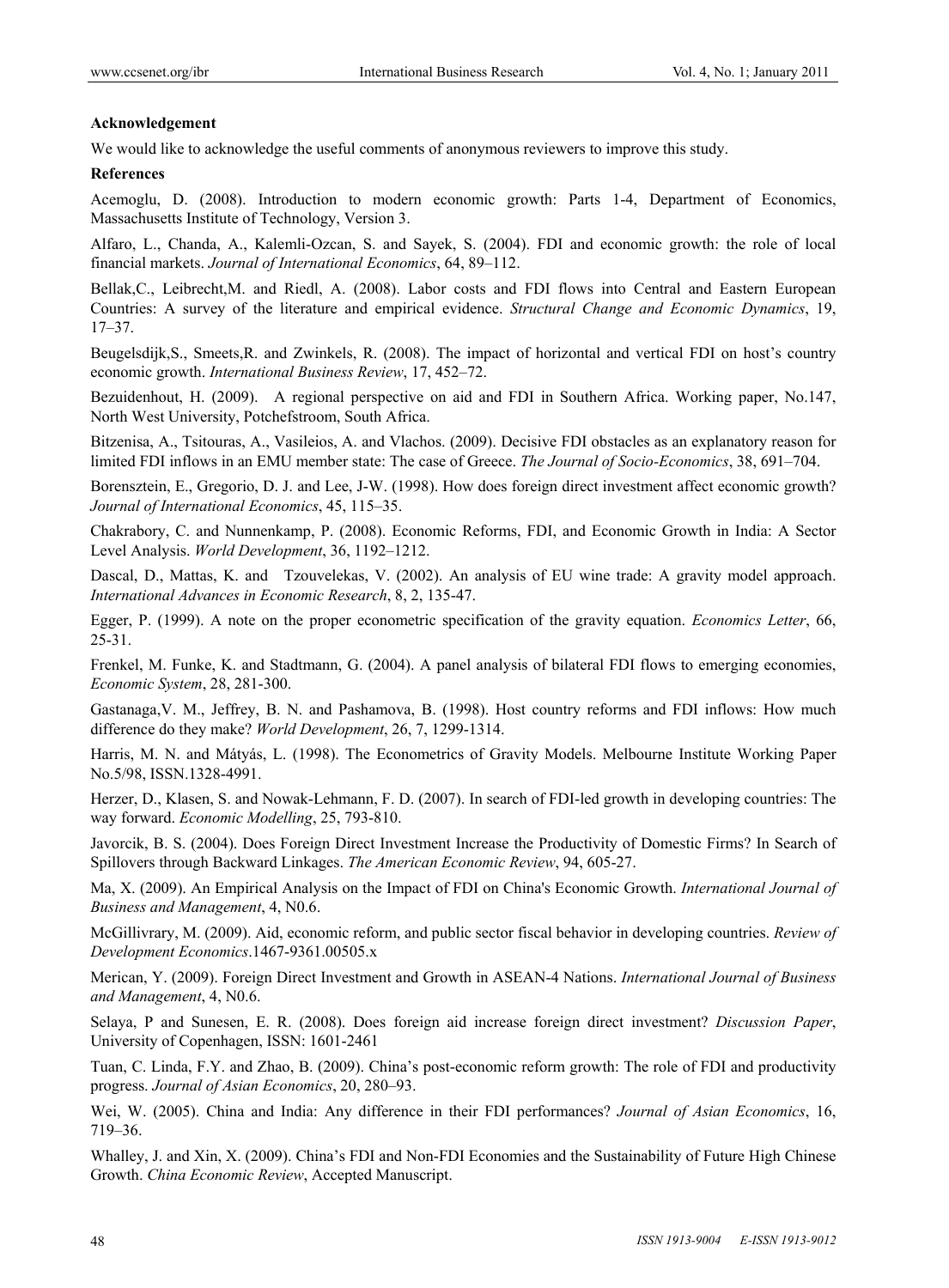#### **Acknowledgement**

We would like to acknowledge the useful comments of anonymous reviewers to improve this study.

#### **References**

Acemoglu, D. (2008). Introduction to modern economic growth: Parts 1-4, Department of Economics, Massachusetts Institute of Technology, Version 3.

Alfaro, L., Chanda, A., Kalemli-Ozcan, S. and Sayek, S. (2004). FDI and economic growth: the role of local financial markets. *Journal of International Economics*, 64, 89–112.

Bellak,C., Leibrecht,M. and Riedl, A. (2008). Labor costs and FDI flows into Central and Eastern European Countries: A survey of the literature and empirical evidence. *Structural Change and Economic Dynamics*, 19, 17–37.

Beugelsdijk,S., Smeets,R. and Zwinkels, R. (2008). The impact of horizontal and vertical FDI on host's country economic growth. *International Business Review*, 17, 452–72.

Bezuidenhout, H. (2009). A regional perspective on aid and FDI in Southern Africa. Working paper, No.147, North West University, Potchefstroom, South Africa.

Bitzenisa, A., Tsitouras, A., Vasileios, A. and Vlachos. (2009). Decisive FDI obstacles as an explanatory reason for limited FDI inflows in an EMU member state: The case of Greece. *The Journal of Socio-Economics*, 38, 691–704.

Borensztein, E., Gregorio, D. J. and Lee, J-W. (1998). How does foreign direct investment affect economic growth? *Journal of International Economics*, 45, 115–35.

Chakrabory, C. and Nunnenkamp, P. (2008). Economic Reforms, FDI, and Economic Growth in India: A Sector Level Analysis. *World Development*, 36, 1192–1212.

Dascal, D., Mattas, K. and Tzouvelekas, V. (2002). An analysis of EU wine trade: A gravity model approach. *International Advances in Economic Research*, 8, 2, 135-47.

Egger, P. (1999). A note on the proper econometric specification of the gravity equation. *Economics Letter*, 66, 25-31.

Frenkel, M. Funke, K. and Stadtmann, G. (2004). A panel analysis of bilateral FDI flows to emerging economies, *Economic System*, 28, 281-300.

Gastanaga,V. M., Jeffrey, B. N. and Pashamova, B. (1998). Host country reforms and FDI inflows: How much difference do they make? *World Development*, 26, 7, 1299-1314.

Harris, M. N. and Mátyás, L. (1998). The Econometrics of Gravity Models. Melbourne Institute Working Paper No.5/98, ISSN.1328-4991.

Herzer, D., Klasen, S. and Nowak-Lehmann, F. D. (2007). In search of FDI-led growth in developing countries: The way forward. *Economic Modelling*, 25, 793-810.

Javorcik, B. S. (2004). Does Foreign Direct Investment Increase the Productivity of Domestic Firms? In Search of Spillovers through Backward Linkages. *The American Economic Review*, 94, 605-27.

Ma, X. (2009). An Empirical Analysis on the Impact of FDI on China's Economic Growth. *International Journal of Business and Management*, 4, N0.6.

McGillivrary, M. (2009). Aid, economic reform, and public sector fiscal behavior in developing countries. *Review of Development Economics*.1467-9361.00505.x

Merican, Y. (2009). Foreign Direct Investment and Growth in ASEAN-4 Nations. *International Journal of Business and Management*, 4, N0.6.

Selaya, P and Sunesen, E. R. (2008). Does foreign aid increase foreign direct investment? *Discussion Paper*, University of Copenhagen, ISSN: 1601-2461

Tuan, C. Linda, F.Y. and Zhao, B. (2009). China's post-economic reform growth: The role of FDI and productivity progress. *Journal of Asian Economics*, 20, 280–93.

Wei, W. (2005). China and India: Any difference in their FDI performances? *Journal of Asian Economics*, 16, 719–36.

Whalley, J. and Xin, X. (2009). China's FDI and Non-FDI Economies and the Sustainability of Future High Chinese Growth. *China Economic Review*, Accepted Manuscript.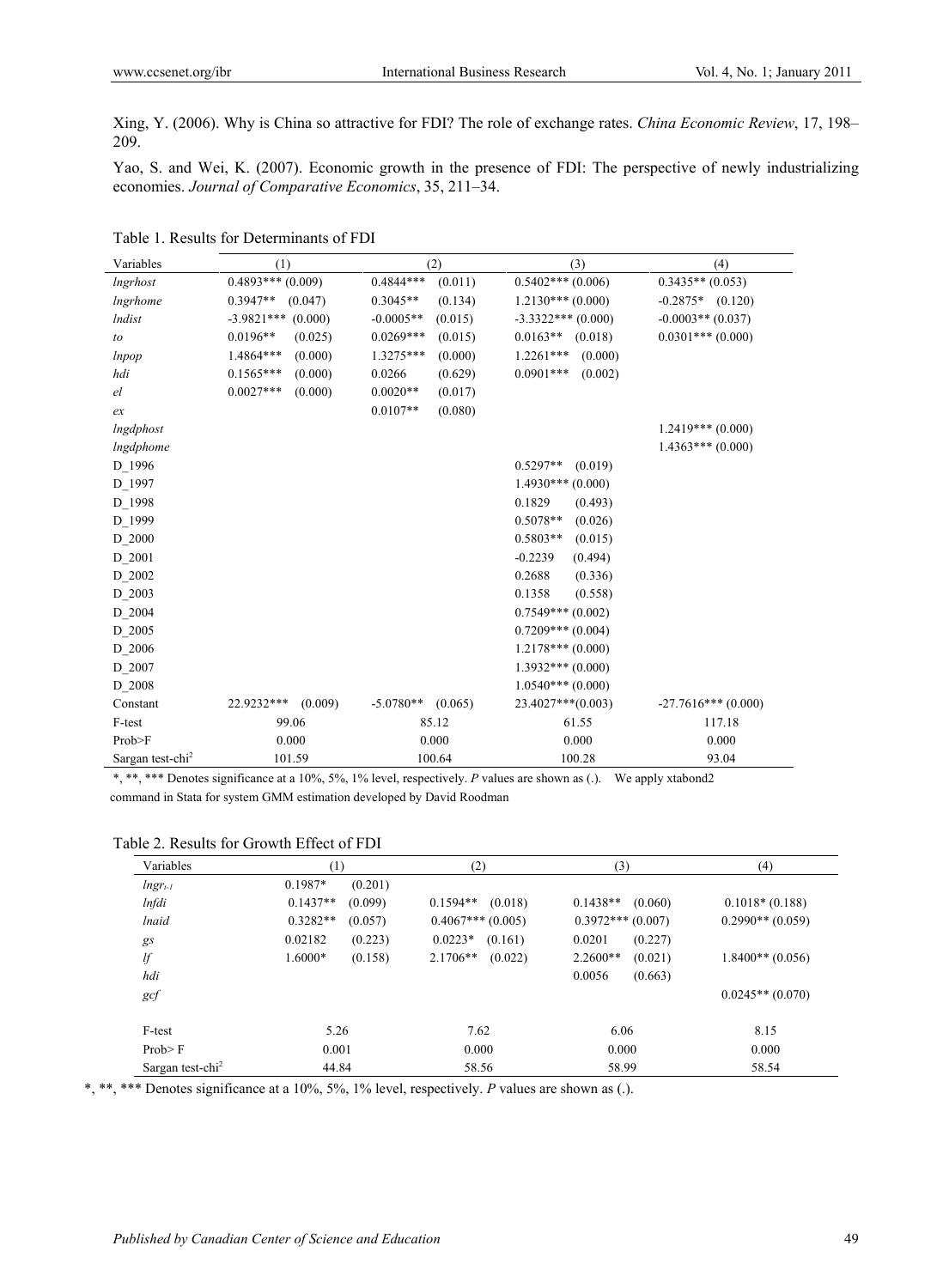Xing, Y. (2006). Why is China so attractive for FDI? The role of exchange rates. *China Economic Review*, 17, 198– 209.

Yao, S. and Wei, K. (2007). Economic growth in the presence of FDI: The perspective of newly industrializing economies. *Journal of Comparative Economics*, 35, 211–34.

|  |  |  |  | Table 1. Results for Determinants of FDI |  |
|--|--|--|--|------------------------------------------|--|
|--|--|--|--|------------------------------------------|--|

| Variables                    | (1)                    | (2)                    | (3)                    | (4)                   |
|------------------------------|------------------------|------------------------|------------------------|-----------------------|
| Ingrhost                     | $0.4893***(0.009)$     | 0.4844***<br>(0.011)   | $0.5402***(0.006)$     | $0.3435**$ (0.053)    |
| Ingrhome                     | $0.3947**$<br>(0.047)  | $0.3045**$<br>(0.134)  | $1.2130***$ (0.000)    | $-0.2875*$ (0.120)    |
| <i>lndist</i>                | $-3.9821***$ (0.000)   | $-0.0005**$<br>(0.015) | $-3.3322***$ (0.000)   | $-0.0003**$ (0.037)   |
| to                           | $0.0196**$<br>(0.025)  | $0.0269***$<br>(0.015) | $0.0163**$<br>(0.018)  | $0.0301***$ (0.000)   |
| lnpop                        | 1.4864***<br>(0.000)   | 1.3275***<br>(0.000)   | $1.2261***$<br>(0.000) |                       |
| hdi                          | $0.1565***$<br>(0.000) | 0.0266<br>(0.629)      | $0.0901***$<br>(0.002) |                       |
| el                           | $0.0027***$<br>(0.000) | $0.0020**$<br>(0.017)  |                        |                       |
| ex                           |                        | $0.0107**$<br>(0.080)  |                        |                       |
| Ingdphost                    |                        |                        |                        | $1.2419***(0.000)$    |
| lngdphome                    |                        |                        |                        | $1.4363***(0.000)$    |
| $D_1996$                     |                        |                        | $0.5297**$<br>(0.019)  |                       |
| D 1997                       |                        |                        | $1.4930***$ (0.000)    |                       |
| D_1998                       |                        |                        | 0.1829<br>(0.493)      |                       |
| D_1999                       |                        |                        | $0.5078**$<br>(0.026)  |                       |
| D 2000                       |                        |                        | $0.5803**$<br>(0.015)  |                       |
| D 2001                       |                        |                        | $-0.2239$<br>(0.494)   |                       |
| D_2002                       |                        |                        | 0.2688<br>(0.336)      |                       |
| D_2003                       |                        |                        | 0.1358<br>(0.558)      |                       |
| D 2004                       |                        |                        | $0.7549***$ (0.002)    |                       |
| D_2005                       |                        |                        | $0.7209***$ (0.004)    |                       |
| D 2006                       |                        |                        | $1.2178***(0.000)$     |                       |
| D 2007                       |                        |                        | $1.3932***(0.000)$     |                       |
| D_2008                       |                        |                        | $1.0540$ *** (0.000)   |                       |
| Constant                     | 22.9232***<br>(0.009)  | $-5.0780**$<br>(0.065) | $23.4027***(0.003)$    | $-27.7616***$ (0.000) |
| F-test                       | 99.06                  | 85.12                  | 61.55                  | 117.18                |
| Prob>F                       | 0.000                  | 0.000                  | 0.000                  | 0.000                 |
| Sargan test-chi <sup>2</sup> | 101.59                 | 100.64                 | 100.28                 | 93.04                 |

\*, \*\*, \*\*\* Denotes significance at a 10%, 5%, 1% level, respectively. *P* values are shown as (.). We apply xtabond2 command in Stata for system GMM estimation developed by David Roodman

Table 2. Results for Growth Effect of FDI

| Variables                    | (1)                   | (2)                   | (3)                   | (4)                |
|------------------------------|-----------------------|-----------------------|-----------------------|--------------------|
| $lngr_{t-1}$                 | $0.1987*$<br>(0.201)  |                       |                       |                    |
| <i>Infdi</i>                 | $0.1437**$<br>(0.099) | $0.1594**$<br>(0.018) | $0.1438**$<br>(0.060) | $0.1018*(0.188)$   |
| <i>lnaid</i>                 | $0.3282**$<br>(0.057) | $0.4067***(0.005)$    | $0.3972***(0.007)$    | $0.2990**$ (0.059) |
| gs                           | 0.02182<br>(0.223)    | $0.0223*$<br>(0.161)  | 0.0201<br>(0.227)     |                    |
| $\iint$                      | 1.6000*<br>(0.158)    | $2.1706**$<br>(0.022) | $2.2600**$<br>(0.021) | $1.8400**$ (0.056) |
| hdi                          |                       |                       | 0.0056<br>(0.663)     |                    |
| gcf                          |                       |                       |                       | $0.0245**$ (0.070) |
| F-test                       | 5.26                  | 7.62                  | 6.06                  | 8.15               |
| Prob > F                     | 0.001                 | 0.000                 | 0.000                 | 0.000              |
| Sargan test-chi <sup>2</sup> | 44.84                 | 58.56                 | 58.99                 | 58.54              |

\*, \*\*, \*\*\* Denotes significance at a 10%, 5%, 1% level, respectively. *P* values are shown as (.).